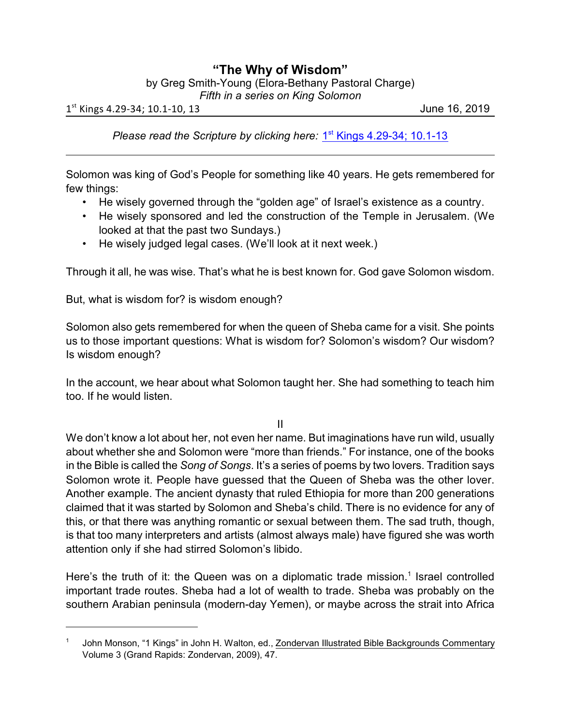## **"The Why of Wisdom"**

by Greg Smith-Young (Elora-Bethany Pastoral Charge)

*Fifth in a series on King Solomon*

1 st Kings 4.29-34; 10.1-10, 13 June 16, 2019

Please read the Scripture by clicking here: 1<sup>st</sup> [Kings 4.29-34; 10.1-13](https://www.biblegateway.com/passage/?search=1+Kings+4%3A29-34%3B+10%3A1-13&version=CEB)

Solomon was king of God's People for something like 40 years. He gets remembered for few things:

- He wisely governed through the "golden age" of Israel's existence as a country.
- He wisely sponsored and led the construction of the Temple in Jerusalem. (We looked at that the past two Sundays.)
- He wisely judged legal cases. (We'll look at it next week.)

Through it all, he was wise. That's what he is best known for. God gave Solomon wisdom.

But, what is wisdom for? is wisdom enough?

Solomon also gets remembered for when the queen of Sheba came for a visit. She points us to those important questions: What is wisdom for? Solomon's wisdom? Our wisdom? Is wisdom enough?

In the account, we hear about what Solomon taught her. She had something to teach him too. If he would listen.

II

We don't know a lot about her, not even her name. But imaginations have run wild, usually about whether she and Solomon were "more than friends." For instance, one of the books in the Bible is called the *Song of Songs*. It's a series of poems by two lovers. Tradition says Solomon wrote it. People have guessed that the Queen of Sheba was the other lover. Another example. The ancient dynasty that ruled Ethiopia for more than 200 generations claimed that it was started by Solomon and Sheba's child. There is no evidence for any of this, or that there was anything romantic or sexual between them. The sad truth, though, is that too many interpreters and artists (almost always male) have figured she was worth attention only if she had stirred Solomon's libido.

Here's the truth of it: the Queen was on a diplomatic trade mission.<sup>1</sup> Israel controlled important trade routes. Sheba had a lot of wealth to trade. Sheba was probably on the southern Arabian peninsula (modern-day Yemen), or maybe across the strait into Africa

<sup>1</sup> John Monson, "1 Kings" in John H. Walton, ed., Zondervan Illustrated Bible Backgrounds Commentary Volume 3 (Grand Rapids: Zondervan, 2009), 47.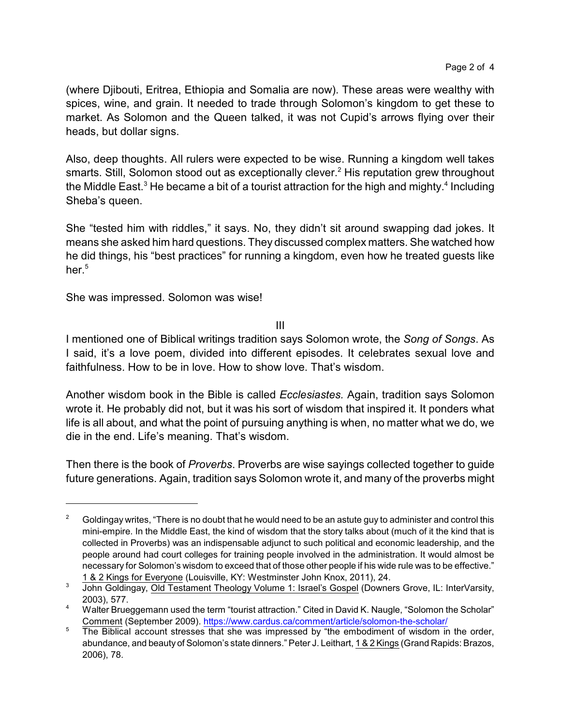(where Djibouti, Eritrea, Ethiopia and Somalia are now). These areas were wealthy with spices, wine, and grain. It needed to trade through Solomon's kingdom to get these to market. As Solomon and the Queen talked, it was not Cupid's arrows flying over their heads, but dollar signs.

Also, deep thoughts. All rulers were expected to be wise. Running a kingdom well takes smarts. Still, Solomon stood out as exceptionally clever.<sup>2</sup> His reputation grew throughout the Middle East. $^3$  He became a bit of a tourist attraction for the high and mighty. $^4$  Including Sheba's queen.

She "tested him with riddles," it says. No, they didn't sit around swapping dad jokes. It means she asked him hard questions. They discussed complex matters. She watched how he did things, his "best practices" for running a kingdom, even how he treated guests like her. $5$ 

She was impressed. Solomon was wise!

III

I mentioned one of Biblical writings tradition says Solomon wrote, the *Song of Songs*. As I said, it's a love poem, divided into different episodes. It celebrates sexual love and faithfulness. How to be in love. How to show love. That's wisdom.

Another wisdom book in the Bible is called *Ecclesiastes.* Again, tradition says Solomon wrote it. He probably did not, but it was his sort of wisdom that inspired it. It ponders what life is all about, and what the point of pursuing anything is when, no matter what we do, we die in the end. Life's meaning. That's wisdom.

Then there is the book of *Proverbs*. Proverbs are wise sayings collected together to guide future generations. Again, tradition says Solomon wrote it, and many of the proverbs might

<sup>&</sup>lt;sup>2</sup> Goldingay writes, "There is no doubt that he would need to be an astute guy to administer and control this mini-empire. In the Middle East, the kind of wisdom that the story talks about (much of it the kind that is collected in Proverbs) was an indispensable adjunct to such political and economic leadership, and the people around had court colleges for training people involved in the administration. It would almost be necessary for Solomon's wisdom to exceed that of those other people if his wide rule was to be effective." 1 & 2 Kings for Everyone (Louisville, KY: Westminster John Knox, 2011), 24.

<sup>3</sup> John Goldingay, Old Testament Theology Volume 1: Israel's Gospel (Downers Grove, IL: InterVarsity, 2003), 577.

<sup>4</sup> Walter Brueggemann used the term "tourist attraction." Cited in David K. Naugle, "Solomon the Scholar" Comment (September 2009).<https://www.cardus.ca/comment/article/solomon-the-scholar/>

<sup>&</sup>lt;sup>5</sup> The Biblical account stresses that she was impressed by "the embodiment of wisdom in the order, abundance, and beauty of Solomon's state dinners." Peter J. Leithart, 1 & 2 Kings (Grand Rapids: Brazos, 2006), 78.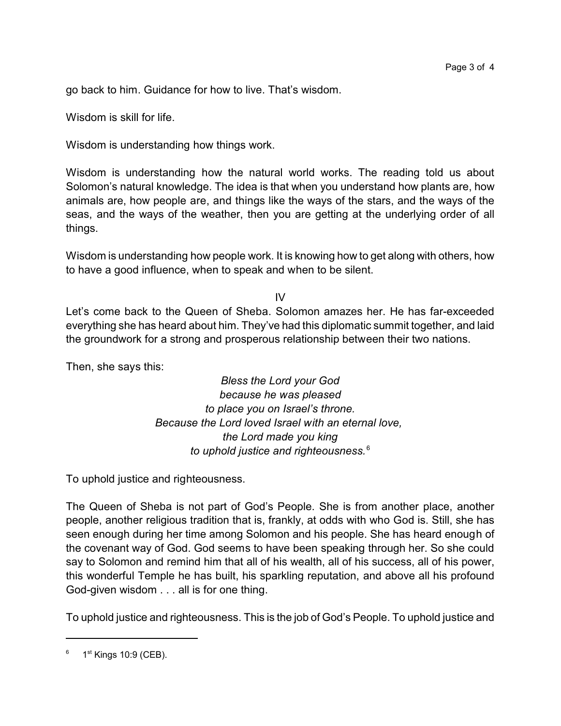go back to him. Guidance for how to live. That's wisdom.

Wisdom is skill for life.

Wisdom is understanding how things work.

Wisdom is understanding how the natural world works. The reading told us about Solomon's natural knowledge. The idea is that when you understand how plants are, how animals are, how people are, and things like the ways of the stars, and the ways of the seas, and the ways of the weather, then you are getting at the underlying order of all things.

Wisdom is understanding how people work. It is knowing how to get along with others, how to have a good influence, when to speak and when to be silent.

IV

Let's come back to the Queen of Sheba. Solomon amazes her. He has far-exceeded everything she has heard about him. They've had this diplomatic summit together, and laid the groundwork for a strong and prosperous relationship between their two nations.

Then, she says this:

*Bless the Lord your God because he was pleased to place you on Israel's throne. Because the Lord loved Israel with an eternal love, the Lord made you king to uphold justice and righteousness.*<sup>6</sup>

To uphold justice and righteousness.

The Queen of Sheba is not part of God's People. She is from another place, another people, another religious tradition that is, frankly, at odds with who God is. Still, she has seen enough during her time among Solomon and his people. She has heard enough of the covenant way of God. God seems to have been speaking through her. So she could say to Solomon and remind him that all of his wealth, all of his success, all of his power, this wonderful Temple he has built, his sparkling reputation, and above all his profound God-given wisdom . . . all is for one thing.

To uphold justice and righteousness. This is the job of God's People. To uphold justice and

<sup>6</sup> 1<sup>st</sup> Kings 10:9 (CEB).